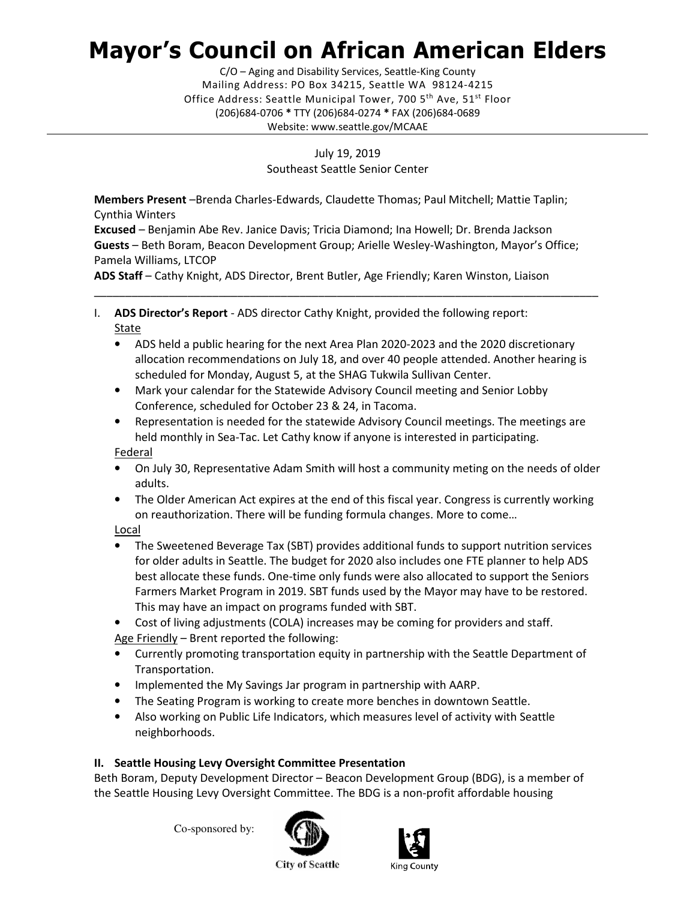## Mayor's Council on African American Elders

 Mailing Address: PO Box 34215, Seattle WA 98124-4215 Office Address: Seattle Municipal Tower, 700 5<sup>th</sup> Ave, 51<sup>st</sup> Floor (206)684-0706 \* TTY (206)684-0274 \* FAX (206)684-0689 C/O – Aging and Disability Services, Seattle-King County Website: <www.seattle.gov/MCAAE>

> July 19, 2019 Southeast Seattle Senior Center

 Members Present –Brenda Charles-Edwards, Claudette Thomas; Paul Mitchell; Mattie Taplin; Cynthia Winters

 Excused – Benjamin Abe Rev. Janice Davis; Tricia Diamond; Ina Howell; Dr. Brenda Jackson Guests - Beth Boram, Beacon Development Group; Arielle Wesley-Washington, Mayor's Office; Pamela Williams, LTCOP

ADS Staff - Cathy Knight, ADS Director, Brent Butler, Age Friendly; Karen Winston, Liaison

- I. ADS Director's Report ADS director Cathy Knight, provided the following report: **State** 
	- • ADS held a public hearing for the next Area Plan 2020-2023 and the 2020 discretionary allocation recommendations on July 18, and over 40 people attended. Another hearing is scheduled for Monday, August 5, at the SHAG Tukwila Sullivan Center.

\_\_\_\_\_\_\_\_\_\_\_\_\_\_\_\_\_\_\_\_\_\_\_\_\_\_\_\_\_\_\_\_\_\_\_\_\_\_\_\_\_\_\_\_\_\_\_\_\_\_\_\_\_\_\_\_\_\_\_\_\_\_\_\_\_\_\_\_\_\_\_\_\_\_\_\_\_\_\_\_\_

- • Mark your calendar for the Statewide Advisory Council meeting and Senior Lobby Conference, scheduled for October 23 & 24, in Tacoma.
- • Representation is needed for the statewide Advisory Council meetings. The meetings are held monthly in Sea-Tac. Let Cathy know if anyone is interested in participating.

Federal

- • On July 30, Representative Adam Smith will host a community meting on the needs of older adults.
- • The Older American Act expires at the end of this fiscal year. Congress is currently working on reauthorization. There will be funding formula changes. More to come…

Local

- • The Sweetened Beverage Tax (SBT) provides additional funds to support nutrition services for older adults in Seattle. The budget for 2020 also includes one FTE planner to help ADS best allocate these funds. One-time only funds were also allocated to support the Seniors Farmers Market Program in 2019. SBT funds used by the Mayor may have to be restored. This may have an impact on programs funded with SBT.
- Cost of living adjustments (COLA) increases may be coming for providers and staff.

Age Friendly - Brent reported the following:

- • Currently promoting transportation equity in partnership with the Seattle Department of Transportation.
- Implemented the My Savings Jar program in partnership with AARP.
- The Seating Program is working to create more benches in downtown Seattle.
- • Also working on Public Life Indicators, which measures level of activity with Seattle neighborhoods.

## II. Seattle Housing Levy Oversight Committee Presentation

 Beth Boram, Deputy Development Director – Beacon Development Group (BDG), is a member of the Seattle Housing Levy Oversight Committee. The BDG is a non-profit affordable housing

Co-sponsored by:





**City of Seattle**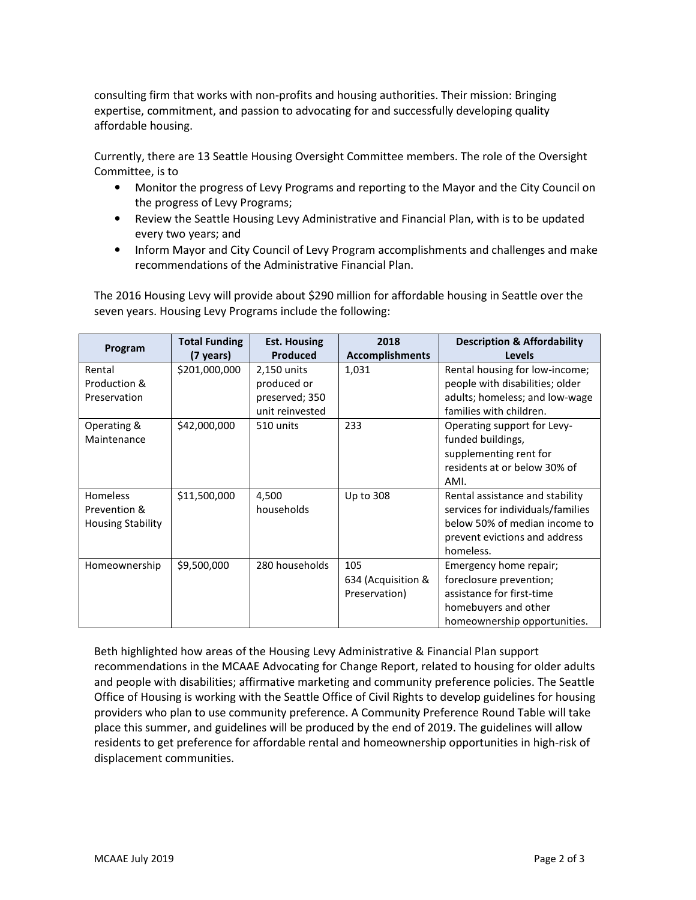consulting firm that works with non-profits and housing authorities. Their mission: Bringing expertise, commitment, and passion to advocating for and successfully developing quality affordable housing.

 Currently, there are 13 Seattle Housing Oversight Committee members. The role of the Oversight Committee, is to

- • Monitor the progress of Levy Programs and reporting to the Mayor and the City Council on the progress of Levy Programs;
- • Review the Seattle Housing Levy Administrative and Financial Plan, with is to be updated every two years; and
- • Inform Mayor and City Council of Levy Program accomplishments and challenges and make recommendations of the Administrative Financial Plan.

 The 2016 Housing Levy will provide about \$290 million for affordable housing in Seattle over the seven years. Housing Levy Programs include the following:

| Program                  | <b>Total Funding</b> | <b>Est. Housing</b> | 2018                   | <b>Description &amp; Affordability</b> |
|--------------------------|----------------------|---------------------|------------------------|----------------------------------------|
|                          | (7 years)            | <b>Produced</b>     | <b>Accomplishments</b> | <b>Levels</b>                          |
| Rental                   | \$201,000,000        | 2,150 units         | 1,031                  | Rental housing for low-income;         |
| Production &             |                      | produced or         |                        | people with disabilities; older        |
| Preservation             |                      | preserved; 350      |                        | adults; homeless; and low-wage         |
|                          |                      | unit reinvested     |                        | families with children.                |
| Operating &              | \$42,000,000         | 510 units           | 233                    | Operating support for Levy-            |
| Maintenance              |                      |                     |                        | funded buildings,                      |
|                          |                      |                     |                        | supplementing rent for                 |
|                          |                      |                     |                        | residents at or below 30% of           |
|                          |                      |                     |                        | AMI.                                   |
| <b>Homeless</b>          | \$11,500,000         | 4,500               | Up to 308              | Rental assistance and stability        |
| Prevention &             |                      | households          |                        | services for individuals/families      |
| <b>Housing Stability</b> |                      |                     |                        | below 50% of median income to          |
|                          |                      |                     |                        | prevent evictions and address          |
|                          |                      |                     |                        | homeless.                              |
| Homeownership            | \$9,500,000          | 280 households      | 105                    | Emergency home repair;                 |
|                          |                      |                     | 634 (Acquisition &     | foreclosure prevention;                |
|                          |                      |                     | Preservation)          | assistance for first-time              |
|                          |                      |                     |                        | homebuyers and other                   |
|                          |                      |                     |                        | homeownership opportunities.           |

 Beth highlighted how areas of the Housing Levy Administrative & Financial Plan support recommendations in the MCAAE Advocating for Change Report, related to housing for older adults and people with disabilities; affirmative marketing and community preference policies. The Seattle Office of Housing is working with the Seattle Office of Civil Rights to develop guidelines for housing providers who plan to use community preference. A Community Preference Round Table will take place this summer, and guidelines will be produced by the end of 2019. The guidelines will allow residents to get preference for affordable rental and homeownership opportunities in high-risk of displacement communities. displacement communities.<br>
MCAAE July 2019 Page 2 of 3